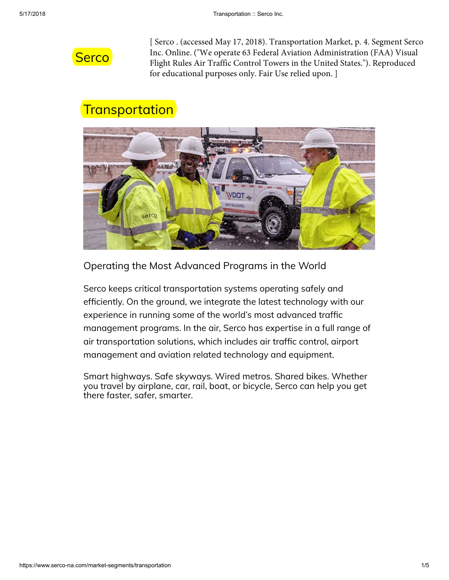

[ Serco . (accessed May 17, 2018). Transportation Market, p. 4. Segment Serco Inc. Online. ("We operate 63 Federal Aviation Administration (FAA) Visual Flight Rules Air Traffic Control Towers in the United States."). Reproduced for educational purposes only. Fair Use relied upon. ]

## Transportation



Operating the Most Advanced Programs in the World

Serco keeps critical transportation systems operating safely and efficiently. On the ground, we integrate the latest technology with our experience in running some of the world's most advanced traffic management programs. In the air, Serco has expertise in a full range of air transportation solutions, which includes air traffic control, airport management and aviation related technology and equipment.

Smart highways. Safe skyways. Wired metros. Shared bikes. Whether you travel by airplane, car, rail, boat, or bicycle, Serco can help you get there faster, safer, smarter.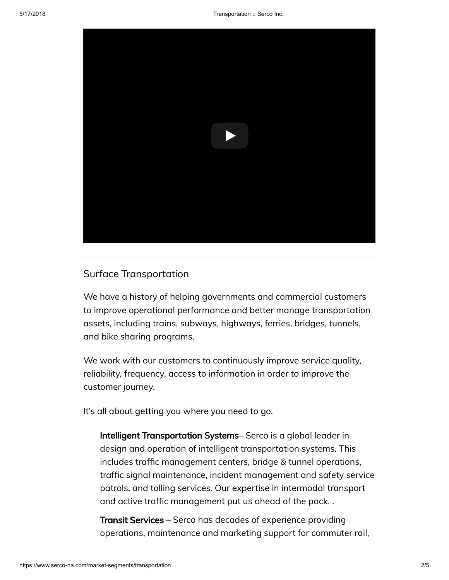

## Surface Transportation

We have a history of helping governments and commercial customers to improve operational performance and better manage transportation assets, including trains, subways, highways, ferries, bridges, tunnels, and bike sharing programs.

We work with our customers to continuously improve service quality, reliability, frequency, access to information in order to improve the customer journey.

It's all about getting you where you need to go.

Intelligent Transportation Systems– Serco is a global leader in design and operation of intelligent transportation systems. This includes traffic management centers, bridge & tunnel operations, traffic signal maintenance, incident management and safety service patrols, and tolling services. Our expertise in intermodal transport and active traffic management put us ahead of the pack..

Transit Services – Serco has decades of experience providing operations, maintenance and marketing support for commuter rail,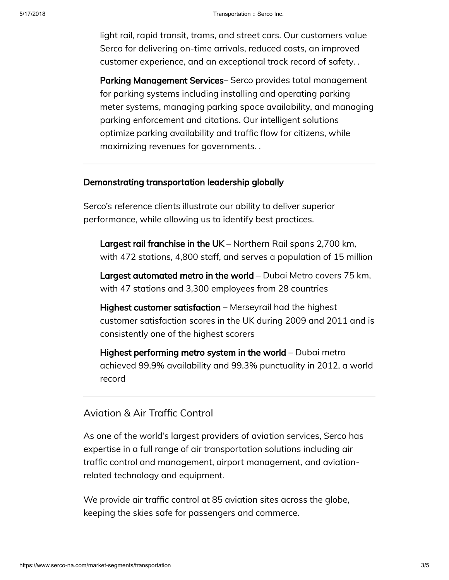light rail, rapid transit, trams, and street cars. Our customers value Serco for delivering on-time arrivals, reduced costs, an improved customer experience, and an exceptional track record of safety. .

Parking Management Services– Serco provides total management for parking systems including installing and operating parking meter systems, managing parking space availability, and managing parking enforcement and citations. Our intelligent solutions optimize parking availability and traffic flow for citizens, while maximizing revenues for governments. .

## Demonstrating transportation leadership globally

Serco's reference clients illustrate our ability to deliver superior performance, while allowing us to identify best practices.

Largest rail franchise in the UK – Northern Rail spans 2,700 km, with 472 stations, 4,800 staff, and serves a population of 15 million

Largest automated metro in the world – Dubai Metro covers 75 km, with 47 stations and 3,300 employees from 28 countries

Highest customer satisfaction – Merseyrail had the highest customer satisfaction scores in the UK during 2009 and 2011 and is consistently one of the highest scorers

Highest performing metro system in the world – Dubai metro achieved 99.9% availability and 99.3% punctuality in 2012, a world record

## Aviation & Air Traffic Control

As one of the world's largest providers of aviation services, Serco has expertise in a full range of air transportation solutions including air traffic control and management, airport management, and aviationrelated technology and equipment.

We provide air traffic control at 85 aviation sites across the globe, keeping the skies safe for passengers and commerce.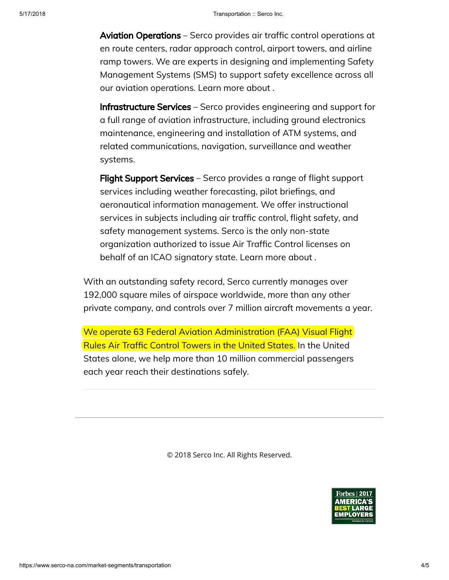Aviation Operations – Serco provides air traffic control operations at en route centers, radar approach control, airport towers, and airline ramp towers. We are experts in designing and implementing Safety Management Systems (SMS) to support safety excellence across all our aviation operations. Learn more about .

Infrastructure Services – Serco provides engineering and support for a full range of aviation infrastructure, including ground electronics maintenance, engineering and installation of ATM systems, and related communications, navigation, surveillance and weather systems.

Flight Support Services – Serco provides a range of flight support services including weather forecasting, pilot briefings, and aeronautical information management. We offer instructional services in subjects including air traffic control, flight safety, and safety management systems. Serco is the only non-state organization authorized to issue Air Traffic Control licenses on behalf of an ICAO signatory state. Learn more about .

With an outstanding safety record, Serco currently manages over 192,000 square miles of airspace worldwide, more than any other private company, and controls over 7 million aircraft movements a year.

We operate 63 Federal Aviation Administration (FAA) Visual Flight Rules Air Traffic Control Towers in the United States. In the United States alone, we help more than 10 million commercial passengers each year reach their destinations safely.

© 2018 Serco Inc. All Rights Reserved.